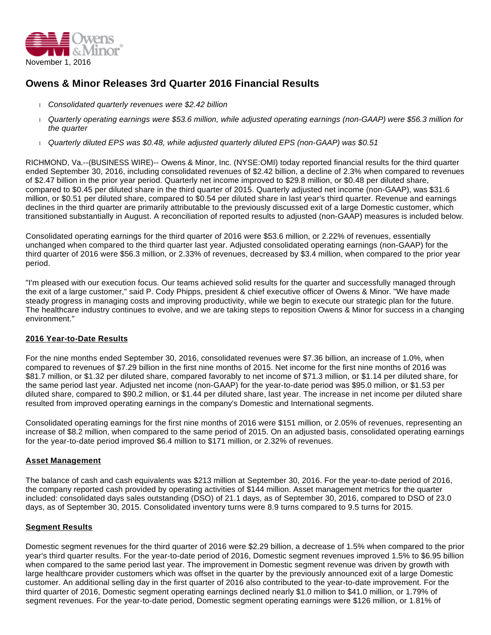

# **Owens & Minor Releases 3rd Quarter 2016 Financial Results**

- Consolidated quarterly revenues were \$2.42 billion
- Quarterly operating earnings were \$53.6 million, while adjusted operating earnings (non-GAAP) were \$56.3 million for the quarter
- Quarterly diluted EPS was \$0.48, while adjusted quarterly diluted EPS (non-GAAP) was \$0.51

RICHMOND, Va.--(BUSINESS WIRE)-- Owens & Minor, Inc. (NYSE:OMI) today reported financial results for the third quarter ended September 30, 2016, including consolidated revenues of \$2.42 billion, a decline of 2.3% when compared to revenues of \$2.47 billion in the prior year period. Quarterly net income improved to \$29.8 million, or \$0.48 per diluted share, compared to \$0.45 per diluted share in the third quarter of 2015. Quarterly adjusted net income (non-GAAP), was \$31.6 million, or \$0.51 per diluted share, compared to \$0.54 per diluted share in last year's third quarter. Revenue and earnings declines in the third quarter are primarily attributable to the previously discussed exit of a large Domestic customer, which transitioned substantially in August. A reconciliation of reported results to adjusted (non-GAAP) measures is included below.

Consolidated operating earnings for the third quarter of 2016 were \$53.6 million, or 2.22% of revenues, essentially unchanged when compared to the third quarter last year. Adjusted consolidated operating earnings (non-GAAP) for the third quarter of 2016 were \$56.3 million, or 2.33% of revenues, decreased by \$3.4 million, when compared to the prior year period.

"I'm pleased with our execution focus. Our teams achieved solid results for the quarter and successfully managed through the exit of a large customer," said P. Cody Phipps, president & chief executive officer of Owens & Minor. "We have made steady progress in managing costs and improving productivity, while we begin to execute our strategic plan for the future. The healthcare industry continues to evolve, and we are taking steps to reposition Owens & Minor for success in a changing environment."

# **2016 Year-to-Date Results**

For the nine months ended September 30, 2016, consolidated revenues were \$7.36 billion, an increase of 1.0%, when compared to revenues of \$7.29 billion in the first nine months of 2015. Net income for the first nine months of 2016 was \$81.7 million, or \$1.32 per diluted share, compared favorably to net income of \$71.3 million, or \$1.14 per diluted share, for the same period last year. Adjusted net income (non-GAAP) for the year-to-date period was \$95.0 million, or \$1.53 per diluted share, compared to \$90.2 million, or \$1.44 per diluted share, last year. The increase in net income per diluted share resulted from improved operating earnings in the company's Domestic and International segments.

Consolidated operating earnings for the first nine months of 2016 were \$151 million, or 2.05% of revenues, representing an increase of \$8.2 million, when compared to the same period of 2015. On an adjusted basis, consolidated operating earnings for the year-to-date period improved \$6.4 million to \$171 million, or 2.32% of revenues.

# **Asset Management**

The balance of cash and cash equivalents was \$213 million at September 30, 2016. For the year-to-date period of 2016, the company reported cash provided by operating activities of \$144 million. Asset management metrics for the quarter included: consolidated days sales outstanding (DSO) of 21.1 days, as of September 30, 2016, compared to DSO of 23.0 days, as of September 30, 2015. Consolidated inventory turns were 8.9 turns compared to 9.5 turns for 2015.

# **Segment Results**

Domestic segment revenues for the third quarter of 2016 were \$2.29 billion, a decrease of 1.5% when compared to the prior year's third quarter results. For the year-to-date period of 2016, Domestic segment revenues improved 1.5% to \$6.95 billion when compared to the same period last year. The improvement in Domestic segment revenue was driven by growth with large healthcare provider customers which was offset in the quarter by the previously announced exit of a large Domestic customer. An additional selling day in the first quarter of 2016 also contributed to the year-to-date improvement. For the third quarter of 2016, Domestic segment operating earnings declined nearly \$1.0 million to \$41.0 million, or 1.79% of segment revenues. For the year-to-date period, Domestic segment operating earnings were \$126 million, or 1.81% of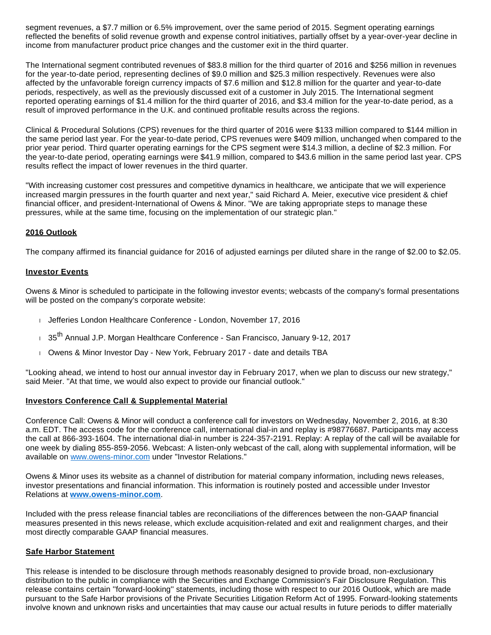segment revenues, a \$7.7 million or 6.5% improvement, over the same period of 2015. Segment operating earnings reflected the benefits of solid revenue growth and expense control initiatives, partially offset by a year-over-year decline in income from manufacturer product price changes and the customer exit in the third quarter.

The International segment contributed revenues of \$83.8 million for the third quarter of 2016 and \$256 million in revenues for the year-to-date period, representing declines of \$9.0 million and \$25.3 million respectively. Revenues were also affected by the unfavorable foreign currency impacts of \$7.6 million and \$12.8 million for the quarter and year-to-date periods, respectively, as well as the previously discussed exit of a customer in July 2015. The International segment reported operating earnings of \$1.4 million for the third quarter of 2016, and \$3.4 million for the year-to-date period, as a result of improved performance in the U.K. and continued profitable results across the regions.

Clinical & Procedural Solutions (CPS) revenues for the third quarter of 2016 were \$133 million compared to \$144 million in the same period last year. For the year-to-date period, CPS revenues were \$409 million, unchanged when compared to the prior year period. Third quarter operating earnings for the CPS segment were \$14.3 million, a decline of \$2.3 million. For the year-to-date period, operating earnings were \$41.9 million, compared to \$43.6 million in the same period last year. CPS results reflect the impact of lower revenues in the third quarter.

"With increasing customer cost pressures and competitive dynamics in healthcare, we anticipate that we will experience increased margin pressures in the fourth quarter and next year," said Richard A. Meier, executive vice president & chief financial officer, and president-International of Owens & Minor. "We are taking appropriate steps to manage these pressures, while at the same time, focusing on the implementation of our strategic plan."

# **2016 Outlook**

The company affirmed its financial guidance for 2016 of adjusted earnings per diluted share in the range of \$2.00 to \$2.05.

### **Investor Events**

Owens & Minor is scheduled to participate in the following investor events; webcasts of the company's formal presentations will be posted on the company's corporate website:

- Jefferies London Healthcare Conference London, November 17, 2016
- ⊤ 35<sup>th</sup> Annual J.P. Morgan Healthcare Conference San Francisco, January 9-12, 2017
- Owens & Minor Investor Day New York, February 2017 date and details TBA

"Looking ahead, we intend to host our annual investor day in February 2017, when we plan to discuss our new strategy," said Meier. "At that time, we would also expect to provide our financial outlook."

### **Investors Conference Call & Supplemental Material**

Conference Call: Owens & Minor will conduct a conference call for investors on Wednesday, November 2, 2016, at 8:30 a.m. EDT. The access code for the conference call, international dial-in and replay is #98776687. Participants may access the call at 866-393-1604. The international dial-in number is 224-357-2191. Replay: A replay of the call will be available for one week by dialing 855-859-2056. Webcast: A listen-only webcast of the call, along with supplemental information, will be available on [www.owens-minor.com](http://cts.businesswire.com/ct/CT?id=smartlink&url=http%3A%2F%2Fwww.owens-minor.com&esheet=51451611&newsitemid=20161101006875&lan=en-US&anchor=www.owens-minor.com&index=1&md5=3e0dbc6ab5847cf782fa1054315e6341) under "Investor Relations."

Owens & Minor uses its website as a channel of distribution for material company information, including news releases, investor presentations and financial information. This information is routinely posted and accessible under Investor Relations at **[www.owens-minor.com](http://cts.businesswire.com/ct/CT?id=smartlink&url=http%3A%2F%2Fwww.owens-minor.com&esheet=51451611&newsitemid=20161101006875&lan=en-US&anchor=www.owens-minor.com&index=2&md5=692303615e89f16db9455271a24417e1)**.

Included with the press release financial tables are reconciliations of the differences between the non-GAAP financial measures presented in this news release, which exclude acquisition-related and exit and realignment charges, and their most directly comparable GAAP financial measures.

# **Safe Harbor Statement**

This release is intended to be disclosure through methods reasonably designed to provide broad, non-exclusionary distribution to the public in compliance with the Securities and Exchange Commission's Fair Disclosure Regulation. This release contains certain ''forward-looking'' statements, including those with respect to our 2016 Outlook, which are made pursuant to the Safe Harbor provisions of the Private Securities Litigation Reform Act of 1995. Forward-looking statements involve known and unknown risks and uncertainties that may cause our actual results in future periods to differ materially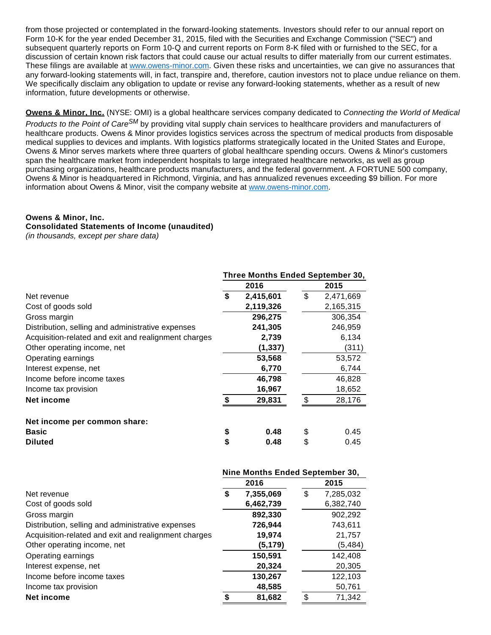from those projected or contemplated in the forward-looking statements. Investors should refer to our annual report on Form 10-K for the year ended December 31, 2015, filed with the Securities and Exchange Commission ("SEC") and subsequent quarterly reports on Form 10-Q and current reports on Form 8-K filed with or furnished to the SEC, for a discussion of certain known risk factors that could cause our actual results to differ materially from our current estimates. These filings are available at [www.owens-minor.com.](http://cts.businesswire.com/ct/CT?id=smartlink&url=http%3A%2F%2Fwww.owens-minor.com&esheet=51451611&newsitemid=20161101006875&lan=en-US&anchor=www.owens-minor.com&index=3&md5=cc59478eec3f5a51c2b0eba9edd90618) Given these risks and uncertainties, we can give no assurances that any forward-looking statements will, in fact, transpire and, therefore, caution investors not to place undue reliance on them. We specifically disclaim any obligation to update or revise any forward-looking statements, whether as a result of new information, future developments or otherwise.

**Owens & Minor, Inc.** (NYSE: OMI) is a global healthcare services company dedicated to Connecting the World of Medical

Products to the Point of Care<sup>SM</sup> by providing vital supply chain services to healthcare providers and manufacturers of healthcare products. Owens & Minor provides logistics services across the spectrum of medical products from disposable medical supplies to devices and implants. With logistics platforms strategically located in the United States and Europe, Owens & Minor serves markets where three quarters of global healthcare spending occurs. Owens & Minor's customers span the healthcare market from independent hospitals to large integrated healthcare networks, as well as group purchasing organizations, healthcare products manufacturers, and the federal government. A FORTUNE 500 company, Owens & Minor is headquartered in Richmond, Virginia, and has annualized revenues exceeding \$9 billion. For more information about Owens & Minor, visit the company website at [www.owens-minor.com](http://cts.businesswire.com/ct/CT?id=smartlink&url=http%3A%2F%2Fwww.owens-minor.com&esheet=51451611&newsitemid=20161101006875&lan=en-US&anchor=www.owens-minor.com&index=4&md5=9f9eca80352124df0618f0364d51e6a3).

### **Owens & Minor, Inc.**

# **Consolidated Statements of Income (unaudited)**

(in thousands, except per share data)

|                                                      | Three Months Ended September 30, |           |     |           |  |  |  |  |
|------------------------------------------------------|----------------------------------|-----------|-----|-----------|--|--|--|--|
|                                                      |                                  | 2016      |     | 2015      |  |  |  |  |
| Net revenue                                          | \$                               | 2,415,601 | \$  | 2,471,669 |  |  |  |  |
| Cost of goods sold                                   |                                  | 2,119,326 |     | 2,165,315 |  |  |  |  |
| Gross margin                                         |                                  | 296,275   |     | 306,354   |  |  |  |  |
| Distribution, selling and administrative expenses    |                                  | 241,305   |     | 246,959   |  |  |  |  |
| Acquisition-related and exit and realignment charges |                                  | 2,739     |     | 6,134     |  |  |  |  |
| Other operating income, net                          |                                  | (1, 337)  |     | (311)     |  |  |  |  |
| Operating earnings                                   |                                  | 53,568    |     | 53,572    |  |  |  |  |
| Interest expense, net                                |                                  | 6,770     |     | 6,744     |  |  |  |  |
| Income before income taxes                           |                                  | 46,798    |     | 46,828    |  |  |  |  |
| Income tax provision                                 |                                  | 16,967    |     | 18,652    |  |  |  |  |
| Net income                                           | \$                               | 29,831    | \$. | 28,176    |  |  |  |  |
| Net income per common share:                         |                                  |           |     |           |  |  |  |  |
| <b>Basic</b>                                         | \$                               | 0.48      | \$  | 0.45      |  |  |  |  |
| <b>Diluted</b>                                       | \$                               | 0.48      | \$  | 0.45      |  |  |  |  |

|                                                      | Nine Months Ended September 30, |           |      |           |  |  |  |  |  |
|------------------------------------------------------|---------------------------------|-----------|------|-----------|--|--|--|--|--|
|                                                      |                                 | 2016      | 2015 |           |  |  |  |  |  |
| Net revenue                                          | S                               | 7,355,069 | \$   | 7,285,032 |  |  |  |  |  |
| Cost of goods sold                                   |                                 | 6,462,739 |      | 6,382,740 |  |  |  |  |  |
| Gross margin                                         |                                 | 892,330   |      | 902,292   |  |  |  |  |  |
| Distribution, selling and administrative expenses    |                                 | 726,944   |      | 743,611   |  |  |  |  |  |
| Acquisition-related and exit and realignment charges |                                 | 19,974    |      | 21,757    |  |  |  |  |  |
| Other operating income, net                          |                                 | (5, 179)  |      | (5, 484)  |  |  |  |  |  |
| Operating earnings                                   |                                 | 150,591   |      | 142,408   |  |  |  |  |  |
| Interest expense, net                                |                                 | 20,324    |      | 20,305    |  |  |  |  |  |
| Income before income taxes                           |                                 | 130,267   |      | 122,103   |  |  |  |  |  |
| Income tax provision                                 |                                 | 48,585    |      | 50,761    |  |  |  |  |  |
| Net income                                           |                                 | 81,682    | \$.  | 71,342    |  |  |  |  |  |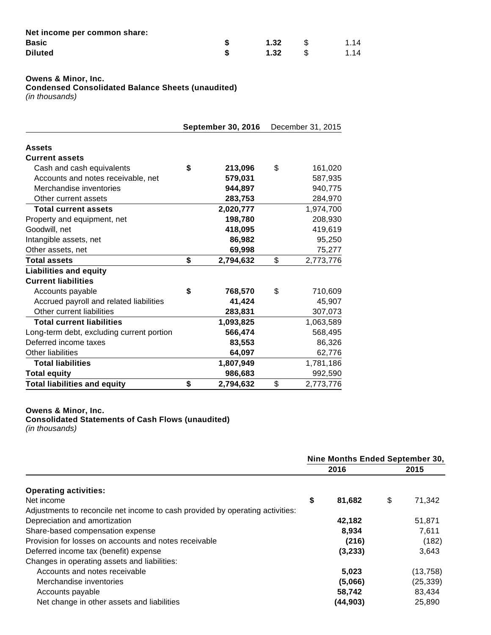| Net income per common share: |      |      |
|------------------------------|------|------|
| Basic                        | 1.32 | 1.14 |
| <b>Diluted</b>               | 1.32 | 1.14 |

**Owens & Minor, Inc.**

**Condensed Consolidated Balance Sheets (unaudited)**

(in thousands)

|                                           |    | <b>September 30, 2016</b> | December 31, 2015 |           |  |  |
|-------------------------------------------|----|---------------------------|-------------------|-----------|--|--|
| <b>Assets</b>                             |    |                           |                   |           |  |  |
| <b>Current assets</b>                     |    |                           |                   |           |  |  |
| Cash and cash equivalents                 | \$ | 213,096                   | \$                | 161,020   |  |  |
| Accounts and notes receivable, net        |    | 579,031                   |                   | 587,935   |  |  |
| Merchandise inventories                   |    | 944,897                   |                   | 940,775   |  |  |
| Other current assets                      |    | 283,753                   |                   | 284,970   |  |  |
| <b>Total current assets</b>               |    | 2,020,777                 |                   | 1,974,700 |  |  |
| Property and equipment, net               |    | 198,780                   |                   | 208,930   |  |  |
| Goodwill, net                             |    | 418,095                   |                   | 419,619   |  |  |
| Intangible assets, net                    |    | 86,982                    |                   | 95,250    |  |  |
| Other assets, net                         |    | 69,998                    |                   | 75,277    |  |  |
| <b>Total assets</b>                       | \$ | 2,794,632                 | \$                | 2,773,776 |  |  |
| <b>Liabilities and equity</b>             |    |                           |                   |           |  |  |
| <b>Current liabilities</b>                |    |                           |                   |           |  |  |
| Accounts payable                          | \$ | 768,570                   | \$                | 710,609   |  |  |
| Accrued payroll and related liabilities   |    | 41,424                    |                   | 45,907    |  |  |
| Other current liabilities                 |    | 283,831                   |                   | 307,073   |  |  |
| <b>Total current liabilities</b>          |    | 1,093,825                 |                   | 1,063,589 |  |  |
| Long-term debt, excluding current portion |    | 566,474                   |                   | 568,495   |  |  |
| Deferred income taxes                     |    | 83,553                    |                   | 86,326    |  |  |
| <b>Other liabilities</b>                  |    | 64,097                    |                   | 62,776    |  |  |
| <b>Total liabilities</b>                  |    | 1,807,949                 |                   | 1,781,186 |  |  |
| <b>Total equity</b>                       |    | 986,683                   |                   | 992,590   |  |  |
| <b>Total liabilities and equity</b>       | \$ | 2,794,632                 | \$                | 2,773,776 |  |  |

#### **Owens & Minor, Inc.**

**Consolidated Statements of Cash Flows (unaudited)** (in thousands)

|                                                                               | Nine Months Ended September 30, |              |  |  |
|-------------------------------------------------------------------------------|---------------------------------|--------------|--|--|
| <b>Operating activities:</b>                                                  | 2016                            | 2015         |  |  |
|                                                                               |                                 |              |  |  |
| Net income                                                                    | \$<br>81,682                    | \$<br>71,342 |  |  |
| Adjustments to reconcile net income to cash provided by operating activities: |                                 |              |  |  |
| Depreciation and amortization                                                 | 42,182                          | 51,871       |  |  |
| Share-based compensation expense                                              | 8,934                           | 7.611        |  |  |
| Provision for losses on accounts and notes receivable                         | (216)                           | (182)        |  |  |
| Deferred income tax (benefit) expense                                         | (3,233)                         | 3,643        |  |  |
| Changes in operating assets and liabilities:                                  |                                 |              |  |  |
| Accounts and notes receivable                                                 | 5,023                           | (13, 758)    |  |  |
| Merchandise inventories                                                       | (5,066)                         | (25, 339)    |  |  |
| Accounts payable                                                              | 58,742                          | 83,434       |  |  |
| Net change in other assets and liabilities                                    | (44,903)                        | 25,890       |  |  |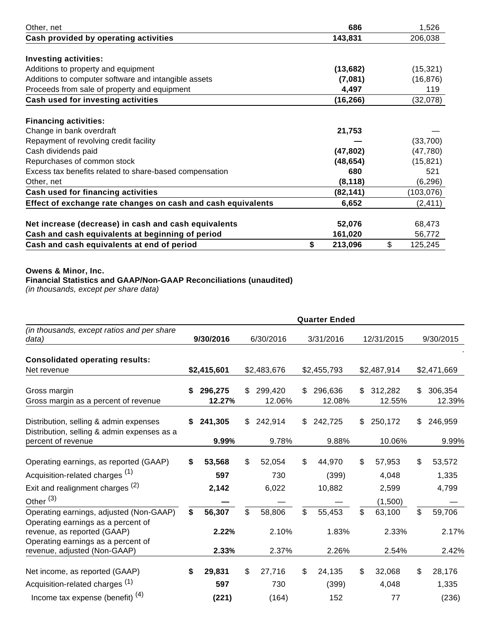| Other, net                                                   | 686           | 1,526         |
|--------------------------------------------------------------|---------------|---------------|
| Cash provided by operating activities                        | 143,831       | 206,038       |
|                                                              |               |               |
| <b>Investing activities:</b>                                 |               |               |
| Additions to property and equipment                          | (13, 682)     | (15, 321)     |
| Additions to computer software and intangible assets         | (7,081)       | (16, 876)     |
| Proceeds from sale of property and equipment                 | 4,497         | 119           |
| Cash used for investing activities                           | (16, 266)     | (32,078)      |
| <b>Financing activities:</b>                                 |               |               |
| Change in bank overdraft                                     | 21,753        |               |
| Repayment of revolving credit facility                       |               | (33,700)      |
| Cash dividends paid                                          | (47, 802)     | (47, 780)     |
| Repurchases of common stock                                  | (48, 654)     | (15, 821)     |
| Excess tax benefits related to share-based compensation      | 680           | 521           |
| Other, net                                                   | (8, 118)      | (6, 296)      |
| Cash used for financing activities                           | (82,141)      | (103, 076)    |
| Effect of exchange rate changes on cash and cash equivalents | 6,652         | (2, 411)      |
|                                                              |               |               |
| Net increase (decrease) in cash and cash equivalents         | 52,076        | 68,473        |
| Cash and cash equivalents at beginning of period             | 161,020       | 56,772        |
| Cash and cash equivalents at end of period                   | \$<br>213,096 | \$<br>125,245 |

## **Owens & Minor, Inc.**

### **Financial Statistics and GAAP/Non-GAAP Reconciliations (unaudited)**

(in thousands, except per share data)

|                                                                                       | <b>Quarter Ended</b> |                   |    |                   |     |                   |    |                   |    |                   |  |  |
|---------------------------------------------------------------------------------------|----------------------|-------------------|----|-------------------|-----|-------------------|----|-------------------|----|-------------------|--|--|
| (in thousands, except ratios and per share<br>data)                                   |                      | 9/30/2016         |    | 6/30/2016         |     | 3/31/2016         |    | 12/31/2015        |    | 9/30/2015         |  |  |
| <b>Consolidated operating results:</b>                                                |                      |                   |    |                   |     |                   |    |                   |    |                   |  |  |
| Net revenue                                                                           |                      | \$2,415,601       |    | \$2,483,676       |     | \$2,455,793       |    | \$2,487,914       |    | \$2,471,669       |  |  |
| Gross margin<br>Gross margin as a percent of revenue                                  | S                    | 296,275<br>12.27% | \$ | 299,420<br>12.06% | S.  | 296,636<br>12.08% | \$ | 312,282<br>12.55% | \$ | 306,354<br>12.39% |  |  |
| Distribution, selling & admin expenses<br>Distribution, selling & admin expenses as a | S                    | 241,305           | \$ | 242,914           | \$. | 242,725           | \$ | 250,172           | \$ | 246,959           |  |  |
| percent of revenue                                                                    |                      | 9.99%             |    | 9.78%             |     | 9.88%             |    | 10.06%            |    | 9.99%             |  |  |
| Operating earnings, as reported (GAAP)                                                | \$                   | 53,568            | \$ | 52,054            | \$  | 44,970            | \$ | 57,953            | \$ | 53,572            |  |  |
| Acquisition-related charges <sup>(1)</sup>                                            |                      | 597               |    | 730               |     | (399)             |    | 4,048             |    | 1,335             |  |  |
| Exit and realignment charges (2)                                                      |                      | 2,142             |    | 6,022             |     | 10,882            |    | 2,599             |    | 4,799             |  |  |
| Other $(3)$                                                                           |                      |                   |    |                   |     |                   |    | (1,500)           |    |                   |  |  |
| Operating earnings, adjusted (Non-GAAP)                                               | \$                   | 56,307            | \$ | 58,806            | \$. | 55,453            | \$ | 63,100            | \$ | 59,706            |  |  |
| Operating earnings as a percent of<br>revenue, as reported (GAAP)                     |                      | 2.22%             |    | 2.10%             |     | 1.83%             |    | 2.33%             |    | 2.17%             |  |  |
| Operating earnings as a percent of<br>revenue, adjusted (Non-GAAP)                    |                      | 2.33%             |    | 2.37%             |     | 2.26%             |    | 2.54%             |    | 2.42%             |  |  |
| Net income, as reported (GAAP)                                                        | \$                   | 29,831            | \$ | 27,716            | \$  | 24,135            | \$ | 32,068            | \$ | 28,176            |  |  |
| Acquisition-related charges <sup>(1)</sup>                                            |                      | 597               |    | 730               |     | (399)             |    | 4,048             |    | 1,335             |  |  |
| Income tax expense (benefit) <sup>(4)</sup>                                           |                      | (221)             |    | (164)             |     | 152               |    | 77                |    | (236)             |  |  |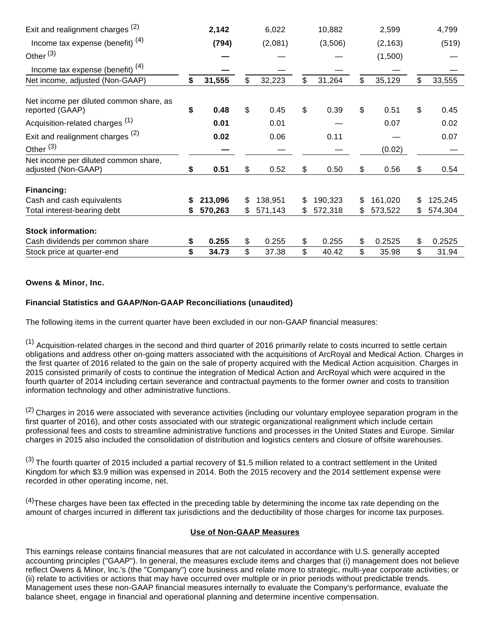| Exit and realignment charges (2)                            |    | 2,142   |     | 6,022   | 10,882        |     | 2,599    | 4,799         |
|-------------------------------------------------------------|----|---------|-----|---------|---------------|-----|----------|---------------|
| Income tax expense (benefit) $(4)$                          |    | (794)   |     | (2,081) | (3,506)       |     | (2, 163) | (519)         |
| Other $(3)$                                                 |    |         |     |         |               |     | (1,500)  |               |
| Income tax expense (benefit) <sup>(4)</sup>                 |    |         |     |         |               |     |          |               |
| Net income, adjusted (Non-GAAP)                             | \$ | 31,555  | \$  | 32,223  | \$<br>31,264  | \$  | 35,129   | \$<br>33,555  |
| Net income per diluted common share, as<br>reported (GAAP)  | \$ | 0.48    | \$  | 0.45    | \$<br>0.39    | \$  | 0.51     | \$<br>0.45    |
| Acquisition-related charges <sup>(1)</sup>                  |    | 0.01    |     | 0.01    |               |     | 0.07     | 0.02          |
| Exit and realignment charges <sup>(2)</sup>                 |    | 0.02    |     | 0.06    | 0.11          |     |          | 0.07          |
| Other <sup>(3)</sup>                                        |    |         |     |         |               |     | (0.02)   |               |
| Net income per diluted common share,<br>adjusted (Non-GAAP) | \$ | 0.51    | \$  | 0.52    | \$<br>0.50    | \$  | 0.56     | \$<br>0.54    |
| Financing:                                                  |    |         |     |         |               |     |          |               |
| Cash and cash equivalents                                   |    | 213,096 | S   | 138,951 | \$<br>190,323 | \$. | 161,020  | \$<br>125,245 |
| Total interest-bearing debt                                 | S  | 570,263 | \$. | 571,143 | \$<br>572,318 | \$  | 573,522  | \$<br>574,304 |
| <b>Stock information:</b>                                   |    |         |     |         |               |     |          |               |
| Cash dividends per common share                             | \$ | 0.255   | \$  | 0.255   | \$<br>0.255   | \$  | 0.2525   | \$<br>0.2525  |
| Stock price at quarter-end                                  | \$ | 34.73   | \$  | 37.38   | \$<br>40.42   | \$  | 35.98    | \$<br>31.94   |

# **Owens & Minor, Inc.**

# **Financial Statistics and GAAP/Non-GAAP Reconciliations (unaudited)**

The following items in the current quarter have been excluded in our non-GAAP financial measures:

 $<sup>(1)</sup>$  Acquisition-related charges in the second and third quarter of 2016 primarily relate to costs incurred to settle certain</sup> obligations and address other on-going matters associated with the acquisitions of ArcRoyal and Medical Action. Charges in the first quarter of 2016 related to the gain on the sale of property acquired with the Medical Action acquisition. Charges in 2015 consisted primarily of costs to continue the integration of Medical Action and ArcRoyal which were acquired in the fourth quarter of 2014 including certain severance and contractual payments to the former owner and costs to transition information technology and other administrative functions.

 $(2)$  Charges in 2016 were associated with severance activities (including our voluntary employee separation program in the first quarter of 2016), and other costs associated with our strategic organizational realignment which include certain professional fees and costs to streamline administrative functions and processes in the United States and Europe. Similar charges in 2015 also included the consolidation of distribution and logistics centers and closure of offsite warehouses.

 $(3)$  The fourth quarter of 2015 included a partial recovery of \$1.5 million related to a contract settlement in the United Kingdom for which \$3.9 million was expensed in 2014. Both the 2015 recovery and the 2014 settlement expense were recorded in other operating income, net.

 $^{(4)}$ These charges have been tax effected in the preceding table by determining the income tax rate depending on the amount of charges incurred in different tax jurisdictions and the deductibility of those charges for income tax purposes.

### **Use of Non-GAAP Measures**

This earnings release contains financial measures that are not calculated in accordance with U.S. generally accepted accounting principles ("GAAP"). In general, the measures exclude items and charges that (i) management does not believe reflect Owens & Minor, Inc.'s (the "Company") core business and relate more to strategic, multi-year corporate activities; or (ii) relate to activities or actions that may have occurred over multiple or in prior periods without predictable trends. Management uses these non-GAAP financial measures internally to evaluate the Company's performance, evaluate the balance sheet, engage in financial and operational planning and determine incentive compensation.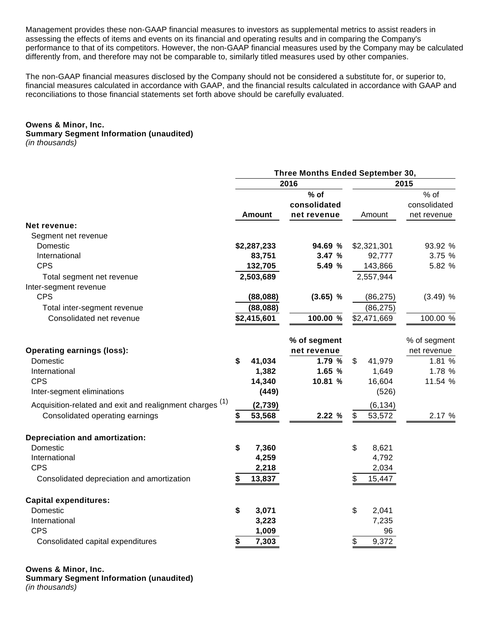Management provides these non-GAAP financial measures to investors as supplemental metrics to assist readers in assessing the effects of items and events on its financial and operating results and in comparing the Company's performance to that of its competitors. However, the non-GAAP financial measures used by the Company may be calculated differently from, and therefore may not be comparable to, similarly titled measures used by other companies.

The non-GAAP financial measures disclosed by the Company should not be considered a substitute for, or superior to, financial measures calculated in accordance with GAAP, and the financial results calculated in accordance with GAAP and reconciliations to those financial statements set forth above should be carefully evaluated.

### **Owens & Minor, Inc.**

#### **Summary Segment Information (unaudited)**

(in thousands)

|                                                          | Three Months Ended September 30, |              |              |              |  |  |  |  |  |
|----------------------------------------------------------|----------------------------------|--------------|--------------|--------------|--|--|--|--|--|
|                                                          |                                  | 2016         | 2015         |              |  |  |  |  |  |
|                                                          |                                  | $%$ of       |              | % of         |  |  |  |  |  |
|                                                          |                                  | consolidated |              | consolidated |  |  |  |  |  |
|                                                          | <b>Amount</b>                    | net revenue  | Amount       | net revenue  |  |  |  |  |  |
| Net revenue:                                             |                                  |              |              |              |  |  |  |  |  |
| Segment net revenue                                      |                                  |              |              |              |  |  |  |  |  |
| Domestic                                                 | \$2,287,233                      | 94.69 %      | \$2,321,301  | 93.92 %      |  |  |  |  |  |
| International                                            | 83,751                           | 3.47 %       | 92,777       | 3.75 %       |  |  |  |  |  |
| <b>CPS</b>                                               | 132,705                          | 5.49 %       | 143,866      | 5.82 %       |  |  |  |  |  |
| Total segment net revenue                                | 2,503,689                        |              | 2,557,944    |              |  |  |  |  |  |
| Inter-segment revenue                                    |                                  |              |              |              |  |  |  |  |  |
| <b>CPS</b>                                               | (88,088)                         | $(3.65)$ %   | (86, 275)    | $(3.49)$ %   |  |  |  |  |  |
| Total inter-segment revenue                              | (88,088)                         |              | (86, 275)    |              |  |  |  |  |  |
| Consolidated net revenue                                 | \$2,415,601                      | 100.00 %     | \$2,471,669  | 100.00 %     |  |  |  |  |  |
|                                                          |                                  |              |              |              |  |  |  |  |  |
|                                                          |                                  | % of segment |              | % of segment |  |  |  |  |  |
| <b>Operating earnings (loss):</b>                        |                                  | net revenue  |              | net revenue  |  |  |  |  |  |
| Domestic                                                 | \$<br>41,034                     | 1.79 %       | \$<br>41,979 | 1.81 %       |  |  |  |  |  |
| International                                            | 1,382                            | 1.65 %       | 1,649        | 1.78 %       |  |  |  |  |  |
| <b>CPS</b>                                               | 14,340                           | 10.81 %      | 16,604       | 11.54 %      |  |  |  |  |  |
| Inter-segment eliminations                               | (449)                            |              | (526)        |              |  |  |  |  |  |
| Acquisition-related and exit and realignment charges (1) | (2,739)                          |              | (6, 134)     |              |  |  |  |  |  |
|                                                          |                                  |              |              |              |  |  |  |  |  |
| Consolidated operating earnings                          | 53,568<br>\$                     | 2.22 %       | \$<br>53,572 | 2.17 %       |  |  |  |  |  |
| <b>Depreciation and amortization:</b>                    |                                  |              |              |              |  |  |  |  |  |
| Domestic                                                 | \$<br>7,360                      |              | \$<br>8,621  |              |  |  |  |  |  |
| International                                            | 4,259                            |              | 4,792        |              |  |  |  |  |  |
| <b>CPS</b>                                               | 2,218                            |              | 2,034        |              |  |  |  |  |  |
| Consolidated depreciation and amortization               | 13,837<br>\$                     |              | \$<br>15,447 |              |  |  |  |  |  |
|                                                          |                                  |              |              |              |  |  |  |  |  |
| <b>Capital expenditures:</b>                             |                                  |              |              |              |  |  |  |  |  |
| Domestic                                                 | \$<br>3,071                      |              | \$<br>2,041  |              |  |  |  |  |  |
| International                                            | 3,223                            |              | 7,235        |              |  |  |  |  |  |
| <b>CPS</b>                                               | 1,009                            |              | 96           |              |  |  |  |  |  |
| Consolidated capital expenditures                        | \$<br>7,303                      |              | 9,372<br>\$  |              |  |  |  |  |  |

### **Owens & Minor, Inc.**

**Summary Segment Information (unaudited)** (in thousands)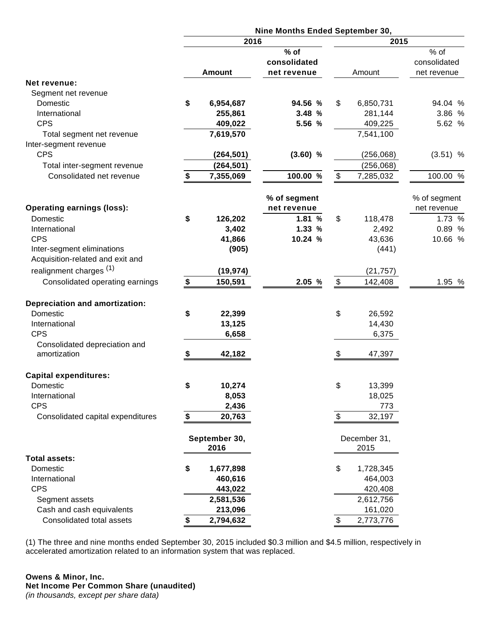|                                          | Nine Months Ended September 30, |                |              |    |               |              |  |  |
|------------------------------------------|---------------------------------|----------------|--------------|----|---------------|--------------|--|--|
|                                          | 2016                            |                | 2015         |    |               |              |  |  |
|                                          |                                 |                | $%$ of       |    |               | % of         |  |  |
|                                          |                                 |                | consolidated |    |               | consolidated |  |  |
|                                          |                                 | <b>Amount</b>  | net revenue  |    | Amount        | net revenue  |  |  |
| Net revenue:                             |                                 |                |              |    |               |              |  |  |
| Segment net revenue                      |                                 |                |              |    |               |              |  |  |
| Domestic                                 | \$                              | 6,954,687      | 94.56 %      | \$ | 6,850,731     | 94.04 %      |  |  |
| International                            |                                 | 255,861        | 3.48 %       |    | 281,144       | 3.86 %       |  |  |
| <b>CPS</b>                               |                                 | 409,022        | 5.56 %       |    | 409,225       | 5.62 %       |  |  |
| Total segment net revenue                |                                 | 7,619,570      |              |    | 7,541,100     |              |  |  |
| Inter-segment revenue<br><b>CPS</b>      |                                 |                |              |    |               |              |  |  |
|                                          |                                 | (264, 501)     | $(3.60)$ %   |    | (256, 068)    | $(3.51)$ %   |  |  |
| Total inter-segment revenue              |                                 | (264, 501)     |              |    | (256,068)     |              |  |  |
| Consolidated net revenue                 | \$                              | 7,355,069      | 100.00 %     | \$ | 7,285,032     | 100.00 %     |  |  |
|                                          |                                 |                | % of segment |    |               | % of segment |  |  |
| <b>Operating earnings (loss):</b>        |                                 |                | net revenue  |    |               | net revenue  |  |  |
| Domestic                                 | \$                              | 126,202        | 1.81 %       | \$ | 118,478       | 1.73 %       |  |  |
| International                            |                                 | 3,402          | 1.33%        |    | 2,492         | 0.89 %       |  |  |
| <b>CPS</b>                               |                                 | 41,866         | 10.24 %      |    | 43,636        | 10.66 %      |  |  |
| Inter-segment eliminations               |                                 | (905)          |              |    | (441)         |              |  |  |
| Acquisition-related and exit and         |                                 |                |              |    |               |              |  |  |
| realignment charges <sup>(1)</sup>       |                                 | (19,974)       |              |    | (21, 757)     |              |  |  |
| Consolidated operating earnings          | \$                              | 150,591        | 2.05 %       | \$ | 142,408       | 1.95 %       |  |  |
| <b>Depreciation and amortization:</b>    |                                 |                |              |    |               |              |  |  |
| Domestic                                 | \$                              | 22,399         |              | \$ | 26,592        |              |  |  |
| International                            |                                 | 13,125         |              |    | 14,430        |              |  |  |
| <b>CPS</b>                               |                                 | 6,658          |              |    | 6,375         |              |  |  |
| Consolidated depreciation and            |                                 |                |              |    |               |              |  |  |
| amortization                             | \$                              | 42,182         |              | \$ | 47,397        |              |  |  |
|                                          |                                 |                |              |    |               |              |  |  |
| <b>Capital expenditures:</b><br>Domestic | \$                              |                |              | \$ |               |              |  |  |
| International                            |                                 | 10,274         |              |    | 13,399        |              |  |  |
| <b>CPS</b>                               |                                 | 8,053<br>2,436 |              |    | 18,025<br>773 |              |  |  |
| Consolidated capital expenditures        | \$                              | 20,763         |              | \$ | 32,197        |              |  |  |
|                                          |                                 |                |              |    |               |              |  |  |
|                                          |                                 | September 30,  |              |    | December 31,  |              |  |  |
|                                          |                                 | 2016           |              |    | 2015          |              |  |  |
| <b>Total assets:</b>                     |                                 |                |              |    |               |              |  |  |
| Domestic                                 | \$                              | 1,677,898      |              | \$ | 1,728,345     |              |  |  |
| International                            |                                 | 460,616        |              |    | 464,003       |              |  |  |
| <b>CPS</b>                               |                                 | 443,022        |              |    | 420,408       |              |  |  |
| Segment assets                           |                                 | 2,581,536      |              |    | 2,612,756     |              |  |  |
| Cash and cash equivalents                |                                 | 213,096        |              |    | 161,020       |              |  |  |
| Consolidated total assets                | \$                              | 2,794,632      |              | \$ | 2,773,776     |              |  |  |

(1) The three and nine months ended September 30, 2015 included \$0.3 million and \$4.5 million, respectively in accelerated amortization related to an information system that was replaced.

### **Owens & Minor, Inc. Net Income Per Common Share (unaudited)** (in thousands, except per share data)